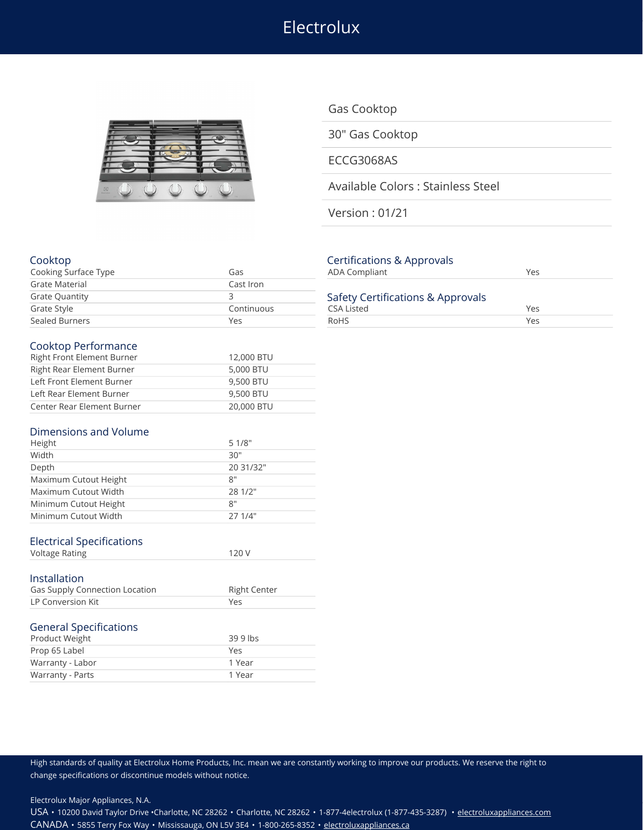Electrolux



Gas Cooktop

30" Gas Cooktop

ECCG3068AS

Available Colors : Stainless Steel

Version : 01/21

### Cooktop Certifications & Approvals

| Cooking Surface Type  | Gas        | ADA Compliant                                   | Yes |  |
|-----------------------|------------|-------------------------------------------------|-----|--|
| Grate Material        | Cast Iron  |                                                 |     |  |
| <b>Grate Quantity</b> |            | Safety Certifications & Approvals<br>CSA Listed |     |  |
| Grate Style           | Continuous |                                                 |     |  |
| Sealed Burners        | Yes        | RoHS                                            | Yes |  |

#### Cooktop Performance

| Right Front Element Burner | 12,000 BTU |
|----------------------------|------------|
| Right Rear Element Burner  | 5,000 BTU  |
| Left Front Element Burner  | 9,500 BTU  |
| Left Rear Element Burner   | 9,500 BTU  |
| Center Rear Element Burner | 20,000 BTU |

#### Dimensions and Volume

| Height                | 51/8"     |
|-----------------------|-----------|
| Width                 | 30"       |
| Depth                 | 20 31/32" |
| Maximum Cutout Height | 8"        |
| Maximum Cutout Width  | 28 1/2"   |
| Minimum Cutout Height | 8"        |
| Minimum Cutout Width  | 27 1/4"   |

## Electrical Specifications

| <b>Voltage Rating</b> |  |
|-----------------------|--|
|                       |  |

# Installation

| Gas Supply Connection Location | <b>Right Center</b> |
|--------------------------------|---------------------|
| LP Conversion Kit              | Yes                 |
|                                |                     |

# General Specifications

| Warranty - Parts | 1 Year    |
|------------------|-----------|
| Warranty - Labor | 1 Year    |
| Prop 65 Label    | Yes       |
| Product Weight   | $399$ lbs |

| Continuations & Approvais                              |     |
|--------------------------------------------------------|-----|
| <b>ADA Compliant</b>                                   | Yes |
| Safety Certifications & Approvals<br><b>CSA Listed</b> | Yes |
| <b>RoHS</b>                                            | Yes |
|                                                        |     |

### High standards of quality at Electrolux Home Products, Inc. mean we are constantly working to improve our products. We reserve the right to change specifications or discontinue models without notice.

Electrolux Major Appliances, N.A.

USA • 10200 David Taylor Drive •Charlotte, NC 28262 • Charlotte, NC 28262 • 1-877-4electrolux (1-877-435-3287) • [electroluxappliances.com](http://electroluxappliances.com) CANADA • 5855 Terry Fox Way • Mississauga, ON L5V 3E4 • 1-800-265-8352 • [electroluxappliances.ca](http://electroluxappliances.ca)